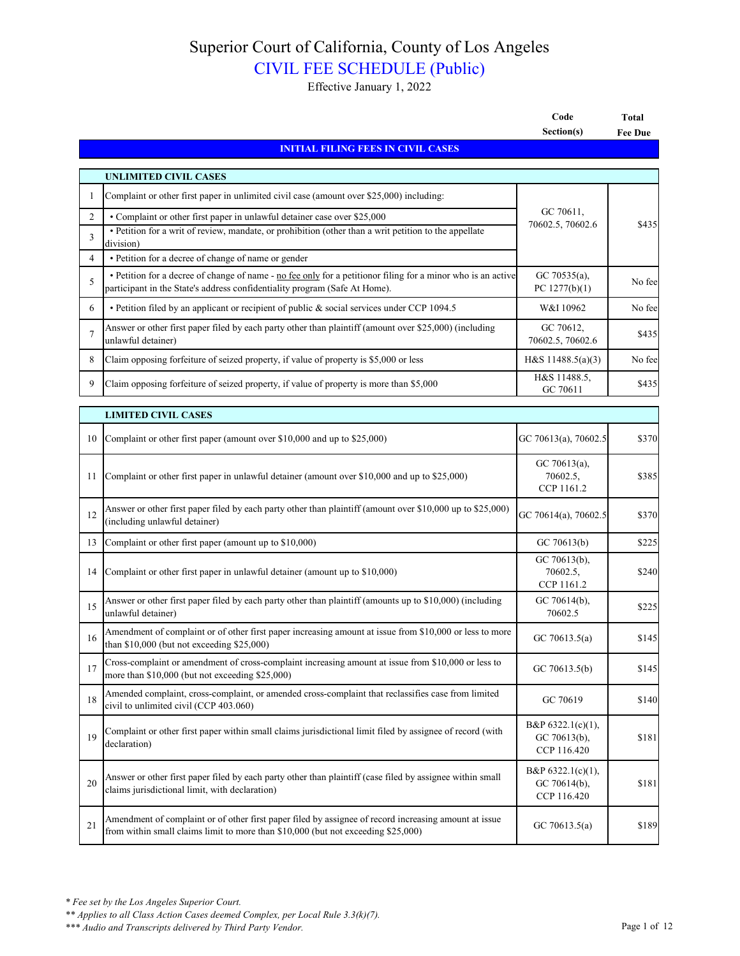## Superior Court of California, County of Los Angeles

## CIVIL FEE SCHEDULE (Public)

Effective January 1, 2022

|                |                                                                                                                                                                                            | Code                                                | <b>Total</b>   |
|----------------|--------------------------------------------------------------------------------------------------------------------------------------------------------------------------------------------|-----------------------------------------------------|----------------|
|                |                                                                                                                                                                                            | Section(s)                                          | <b>Fee Due</b> |
|                | <b>INITIAL FILING FEES IN CIVIL CASES</b>                                                                                                                                                  |                                                     |                |
|                | <b>UNLIMITED CIVIL CASES</b>                                                                                                                                                               |                                                     |                |
| 1              | Complaint or other first paper in unlimited civil case (amount over \$25,000) including:                                                                                                   |                                                     |                |
| $\overline{2}$ | • Complaint or other first paper in unlawful detainer case over \$25,000                                                                                                                   | GC 70611,                                           |                |
| 3              | · Petition for a writ of review, mandate, or prohibition (other than a writ petition to the appellate<br>division)                                                                         | 70602.5, 70602.6                                    | \$435          |
| $\overline{4}$ | • Petition for a decree of change of name or gender                                                                                                                                        |                                                     |                |
| 5              | • Petition for a decree of change of name - no fee only for a petitionor filing for a minor who is an active<br>participant in the State's address confidentiality program (Safe At Home). | GC 70535(a),<br>PC $1277(b)(1)$                     | No fee         |
| 6              | • Petition filed by an applicant or recipient of public & social services under CCP 1094.5                                                                                                 | W&I 10962                                           | No fee         |
| 7              | Answer or other first paper filed by each party other than plaintiff (amount over \$25,000) (including<br>unlawful detainer)                                                               | GC 70612,<br>70602.5, 70602.6                       | \$435          |
| 8              | Claim opposing forfeiture of seized property, if value of property is \$5,000 or less                                                                                                      | H&S $11488.5(a)(3)$                                 | No fee         |
| 9              | Claim opposing forfeiture of seized property, if value of property is more than \$5,000                                                                                                    | H&S 11488.5,<br>GC 70611                            | \$435          |
|                | <b>LIMITED CIVIL CASES</b>                                                                                                                                                                 |                                                     |                |
| 10             | Complaint or other first paper (amount over \$10,000 and up to \$25,000)                                                                                                                   | GC 70613(a), 70602.5                                | \$370          |
| 11             | Complaint or other first paper in unlawful detainer (amount over \$10,000 and up to \$25,000)                                                                                              | GC 70613(a),<br>70602.5,<br>CCP 1161.2              | \$385          |
| 12             | Answer or other first paper filed by each party other than plaintiff (amount over \$10,000 up to \$25,000)<br>(including unlawful detainer)                                                | GC 70614(a), 70602.5                                | \$370          |
| 13             | Complaint or other first paper (amount up to \$10,000)                                                                                                                                     | GC 70613(b)                                         | \$225          |
| 14             | Complaint or other first paper in unlawful detainer (amount up to \$10,000)                                                                                                                | GC 70613(b),<br>70602.5,<br>CCP 1161.2              | \$240          |
| 15             | Answer or other first paper filed by each party other than plaintiff (amounts up to \$10,000) (including<br>unlawful detainer)                                                             | GC 70614(b),<br>70602.5                             | \$225          |
| 16             | Amendment of complaint or of other first paper increasing amount at issue from \$10,000 or less to more<br>than $$10,000$ (but not exceeding $$25,000$ )                                   | GC 70613.5(a)                                       | \$145          |
| 17             | Cross-complaint or amendment of cross-complaint increasing amount at issue from \$10,000 or less to<br>more than \$10,000 (but not exceeding \$25,000)                                     | GC 70613.5(b)                                       | \$145          |
| 18             | Amended complaint, cross-complaint, or amended cross-complaint that reclassifies case from limited<br>civil to unlimited civil (CCP 403.060)                                               | GC 70619                                            | \$140          |
| 19             | Complaint or other first paper within small claims jurisdictional limit filed by assignee of record (with<br>declaration)                                                                  | B&P $6322.1(c)(1)$ ,<br>GC 70613(b),<br>CCP 116.420 | \$181          |
| 20             | Answer or other first paper filed by each party other than plaintiff (case filed by assignee within small<br>claims jurisdictional limit, with declaration)                                | B&P $6322.1(c)(1)$ ,<br>GC 70614(b),<br>CCP 116.420 | \$181          |
| 21             | Amendment of complaint or of other first paper filed by assignee of record increasing amount at issue<br>from within small claims limit to more than \$10,000 (but not exceeding \$25,000) | GC 70613.5(a)                                       | \$189          |

*\*\* Applies to all Class Action Cases deemed Complex, per Local Rule 3.3(k)(7).*

*<sup>\*\*\*</sup> Audio and Transcripts delivered by Third Party Vendor.* Page 1 of 12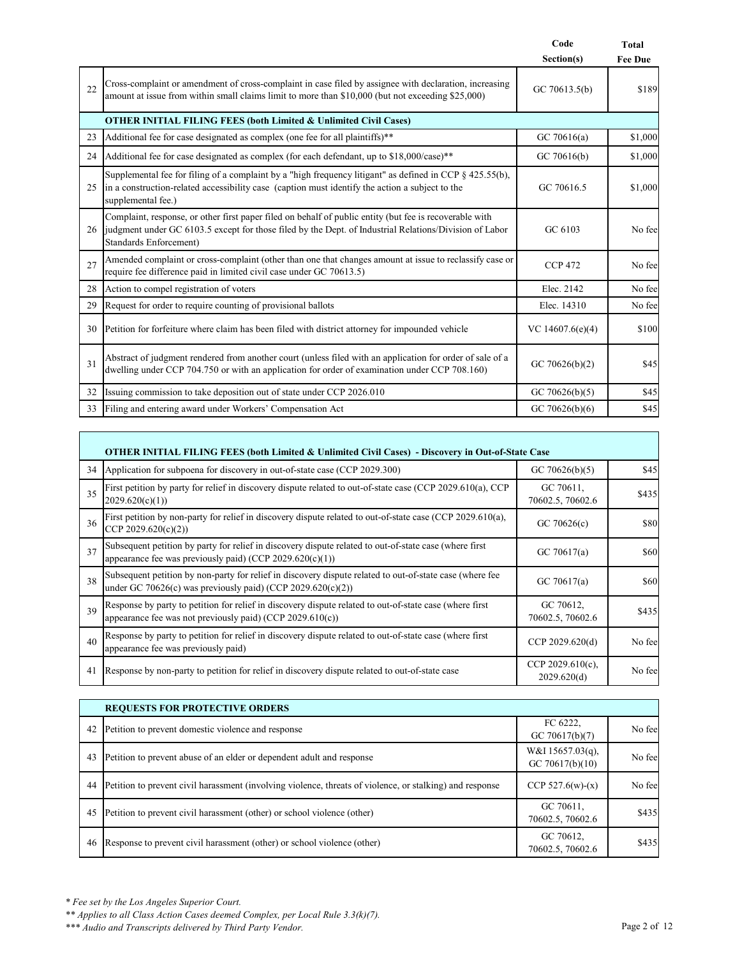|    |                                                                                                                                                                                                                                                    | Code               | Total          |
|----|----------------------------------------------------------------------------------------------------------------------------------------------------------------------------------------------------------------------------------------------------|--------------------|----------------|
|    |                                                                                                                                                                                                                                                    | Section(s)         | <b>Fee Due</b> |
| 22 | Cross-complaint or amendment of cross-complaint in case filed by assignee with declaration, increasing<br>amount at issue from within small claims limit to more than \$10,000 (but not exceeding \$25,000)                                        | GC $70613.5(b)$    | \$189          |
|    | <b>OTHER INITIAL FILING FEES (both Limited &amp; Unlimited Civil Cases)</b>                                                                                                                                                                        |                    |                |
| 23 | Additional fee for case designated as complex (one fee for all plaintiffs)**                                                                                                                                                                       | GC 70616(a)        | \$1,000        |
| 24 | Additional fee for case designated as complex (for each defendant, up to \$18,000/case)**                                                                                                                                                          | GC 70616(b)        | \$1,000        |
| 25 | Supplemental fee for filing of a complaint by a "high frequency litigant" as defined in CCP $\S$ 425.55(b),<br>in a construction-related accessibility case (caption must identify the action a subject to the<br>supplemental fee.)               | GC 70616.5         | \$1,000        |
| 26 | Complaint, response, or other first paper filed on behalf of public entity (but fee is recoverable with<br>judgment under GC 6103.5 except for those filed by the Dept. of Industrial Relations/Division of Labor<br><b>Standards Enforcement)</b> | GC 6103            | No fee         |
| 27 | Amended complaint or cross-complaint (other than one that changes amount at issue to reclassify case or<br>require fee difference paid in limited civil case under GC 70613.5)                                                                     | <b>CCP 472</b>     | No fee         |
| 28 | Action to compel registration of voters                                                                                                                                                                                                            | Elec. 2142         | No fee         |
| 29 | Request for order to require counting of provisional ballots                                                                                                                                                                                       | Elec. 14310        | No fee         |
| 30 | Petition for forfeiture where claim has been filed with district attorney for impounded vehicle                                                                                                                                                    | VC $14607.6(e)(4)$ | \$100          |
| 31 | Abstract of judgment rendered from another court (unless filed with an application for order of sale of a<br>dwelling under CCP 704.750 or with an application for order of examination under CCP 708.160)                                         | GC 70626(b)(2)     | \$45           |
| 32 | Issuing commission to take deposition out of state under CCP 2026.010                                                                                                                                                                              | GC 70626(b)(5)     | \$45           |
| 33 | Filing and entering award under Workers' Compensation Act                                                                                                                                                                                          | GC 70626(b)(6)     | \$45           |

|    | OTHER INITIAL FILING FEES (both Limited & Unlimited Civil Cases) - Discovery in Out-of-State Case                                                                       |                                 |             |  |  |
|----|-------------------------------------------------------------------------------------------------------------------------------------------------------------------------|---------------------------------|-------------|--|--|
| 34 | Application for subpoena for discovery in out-of-state case (CCP 2029.300)                                                                                              | GC 70626(b)(5)                  | \$45        |  |  |
| 35 | First petition by party for relief in discovery dispute related to out-of-state case (CCP 2029.610(a), CCP<br>2029.620(c)(1))                                           | GC 70611,<br>70602.5, 70602.6   | \$435       |  |  |
| 36 | First petition by non-party for relief in discovery dispute related to out-of-state case (CCP 2029.610(a),<br>CCP 2029.620(c)(2))                                       | GC $70626(c)$                   | \$80        |  |  |
| 37 | Subsequent petition by party for relief in discovery dispute related to out-of-state case (where first<br>appearance fee was previously paid) (CCP $2029.620(c)(1)$ )   | GC 70617(a)                     | \$60        |  |  |
| 38 | Subsequent petition by non-party for relief in discovery dispute related to out-of-state case (where fee<br>under GC 70626(c) was previously paid) (CCP 2029.620(c)(2)) | GC 70617(a)                     | <b>\$60</b> |  |  |
| 39 | Response by party to petition for relief in discovery dispute related to out-of-state case (where first<br>appearance fee was not previously paid) (CCP 2029.610(c))    | GC 70612,<br>70602.5, 70602.6   | \$435       |  |  |
| 40 | Response by party to petition for relief in discovery dispute related to out-of-state case (where first<br>appearance fee was previously paid)                          | CCP 2029.620(d)                 | No fee      |  |  |
| 41 | Response by non-party to petition for relief in discovery dispute related to out-of-state case                                                                          | CCP 2029.610(c),<br>2029.620(d) | No fee      |  |  |

|    | <b>REQUESTS FOR PROTECTIVE ORDERS</b>                                                                    |                                        |         |  |
|----|----------------------------------------------------------------------------------------------------------|----------------------------------------|---------|--|
| 42 | Petition to prevent domestic violence and response                                                       | FC 6222,<br>GC 70617(b)(7)             | No fee  |  |
| 43 | Petition to prevent abuse of an elder or dependent adult and response                                    | W&I $15657.03(q)$ ,<br>GC 70617(b)(10) | No feel |  |
| 44 | Petition to prevent civil harassment (involving violence, threats of violence, or stalking) and response | CCP $527.6(w)-(x)$                     | No fee  |  |
| 45 | Petition to prevent civil harassment (other) or school violence (other)                                  | GC 70611.<br>70602.5, 70602.6          | \$435   |  |
| 46 | Response to prevent civil harassment (other) or school violence (other)                                  | GC 70612,<br>70602.5, 70602.6          | \$435   |  |

Г

*\*\* Applies to all Class Action Cases deemed Complex, per Local Rule 3.3(k)(7).*

*\*\*\* Audio and Transcripts delivered by Third Party Vendor.* Page 2 of 12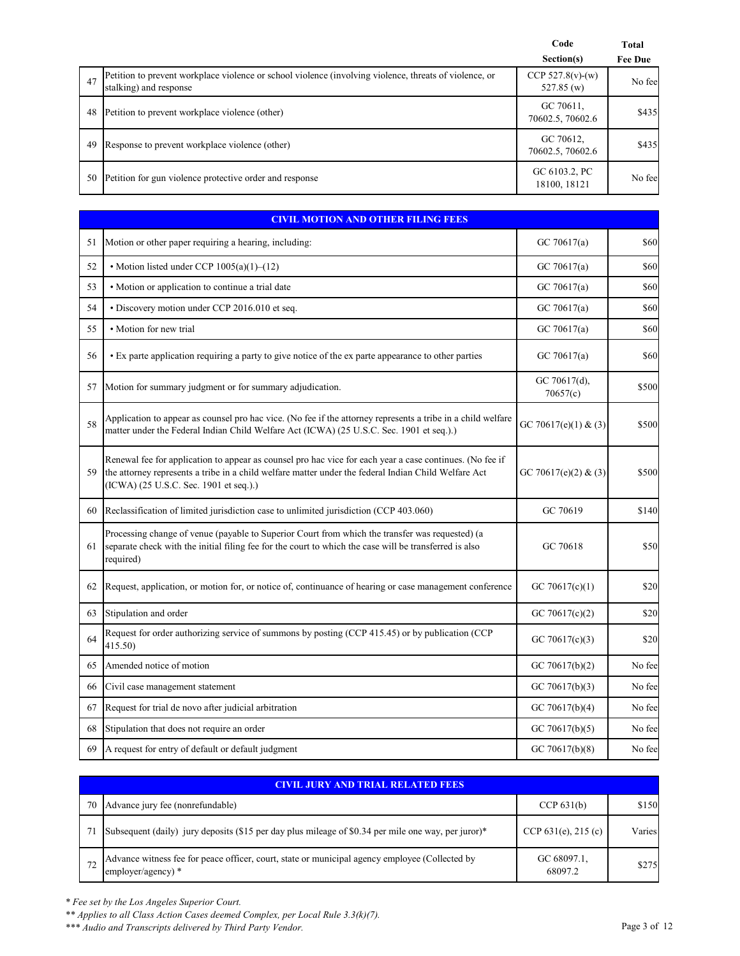|    |                                                                                                                                  | Code<br>Section(s)                  | Total<br><b>Fee Due</b> |
|----|----------------------------------------------------------------------------------------------------------------------------------|-------------------------------------|-------------------------|
| 47 | Petition to prevent workplace violence or school violence (involving violence, threats of violence, or<br>stalking) and response | CCP $527.8(v)$ -(w)<br>$527.85$ (w) | No fee                  |
| 48 | Petition to prevent workplace violence (other)                                                                                   | GC 70611,<br>70602.5, 70602.6       | \$435                   |
| 49 | Response to prevent workplace violence (other)                                                                                   | GC 70612,<br>70602.5, 70602.6       | \$435                   |
| 50 | Petition for gun violence protective order and response                                                                          | GC 6103.2, PC<br>18100, 18121       | No fee                  |

| <b>CIVIL MOTION AND OTHER FILING FEES</b> |                                                                                                                                                                                                                                                            |                          |        |
|-------------------------------------------|------------------------------------------------------------------------------------------------------------------------------------------------------------------------------------------------------------------------------------------------------------|--------------------------|--------|
| 51                                        | Motion or other paper requiring a hearing, including:                                                                                                                                                                                                      | GC 70617(a)              | \$60   |
| 52                                        | • Motion listed under CCP $1005(a)(1)–(12)$                                                                                                                                                                                                                | GC 70617(a)              | \$60   |
| 53                                        | • Motion or application to continue a trial date                                                                                                                                                                                                           | GC 70617(a)              | \$60   |
| 54                                        | · Discovery motion under CCP 2016.010 et seq.                                                                                                                                                                                                              | GC 70617(a)              | \$60   |
| 55                                        | · Motion for new trial                                                                                                                                                                                                                                     | GC 70617(a)              | \$60   |
| 56                                        | • Ex parte application requiring a party to give notice of the ex parte appearance to other parties                                                                                                                                                        | GC 70617(a)              | \$60   |
| 57                                        | Motion for summary judgment or for summary adjudication.                                                                                                                                                                                                   | GC 70617(d),<br>70657(c) | \$500  |
| 58                                        | Application to appear as counsel pro hac vice. (No fee if the attorney represents a tribe in a child welfare<br>matter under the Federal Indian Child Welfare Act (ICWA) (25 U.S.C. Sec. 1901 et seq.).)                                                   | GC 70617(e)(1) & (3)     | \$500  |
| 59                                        | Renewal fee for application to appear as counsel pro hac vice for each year a case continues. (No fee if<br>the attorney represents a tribe in a child welfare matter under the federal Indian Child Welfare Act<br>(ICWA) (25 U.S.C. Sec. 1901 et seq.).) | GC 70617(e)(2) & (3)     | \$500  |
| 60                                        | Reclassification of limited jurisdiction case to unlimited jurisdiction (CCP 403.060)                                                                                                                                                                      | GC 70619                 | \$140  |
| 61                                        | Processing change of venue (payable to Superior Court from which the transfer was requested) (a<br>separate check with the initial filing fee for the court to which the case will be transferred is also<br>required)                                     | GC 70618                 | \$50   |
| 62                                        | Request, application, or motion for, or notice of, continuance of hearing or case management conference                                                                                                                                                    | GC 70617(c)(1)           | \$20   |
| 63                                        | Stipulation and order                                                                                                                                                                                                                                      | GC 70617(c)(2)           | \$20   |
| 64                                        | Request for order authorizing service of summons by posting (CCP 415.45) or by publication (CCP<br>415.50)                                                                                                                                                 | GC 70617(c)(3)           | \$20   |
| 65                                        | Amended notice of motion                                                                                                                                                                                                                                   | GC 70617(b)(2)           | No fee |
| 66                                        | Civil case management statement                                                                                                                                                                                                                            | GC $70617(b)(3)$         | No fee |
| 67                                        | Request for trial de novo after judicial arbitration                                                                                                                                                                                                       | GC $70617(b)(4)$         | No fee |
| 68                                        | Stipulation that does not require an order                                                                                                                                                                                                                 | GC 70617(b)(5)           | No fee |
| 69                                        | A request for entry of default or default judgment                                                                                                                                                                                                         | GC $70617(b)(8)$         | No fee |

|    | CIVIL JURY AND TRIAL RELATED FEES                                                                                      |                        |        |  |
|----|------------------------------------------------------------------------------------------------------------------------|------------------------|--------|--|
| 70 | Advance jury fee (nonrefundable)                                                                                       | CCP $631(b)$           | \$150  |  |
|    | Subsequent (daily) jury deposits (\$15 per day plus mileage of \$0.34 per mile one way, per juror)*                    | CCP $631(e)$ , 215 (c) | Varies |  |
|    | Advance witness fee for peace officer, court, state or municipal agency employee (Collected by<br>employer/agency) $*$ | GC 68097.1,<br>68097.2 | \$275  |  |

*\*\* Applies to all Class Action Cases deemed Complex, per Local Rule 3.3(k)(7).*

*\*\*\* Audio and Transcripts delivered by Third Party Vendor.* Page 3 of 12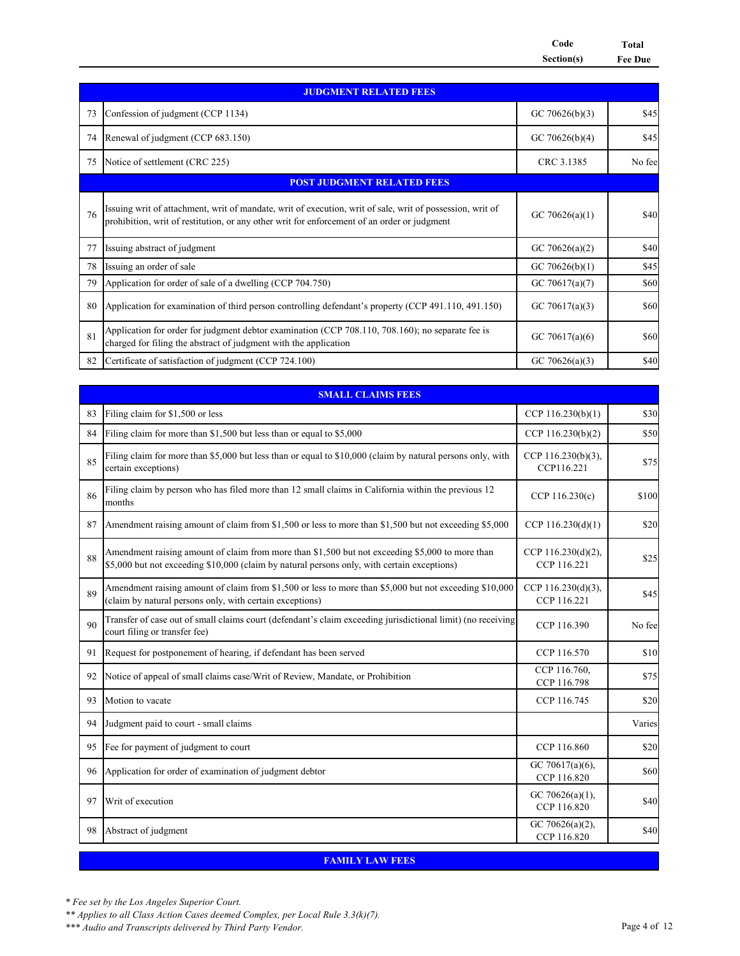**Code Total Section(s) Fee Due**

|    | <b>JUDGMENT RELATED FEES</b>                                                                                                                                                                             |                  |        |  |
|----|----------------------------------------------------------------------------------------------------------------------------------------------------------------------------------------------------------|------------------|--------|--|
| 73 | Confession of judgment (CCP 1134)                                                                                                                                                                        | GC 70626(b)(3)   | \$45   |  |
| 74 | Renewal of judgment (CCP 683.150)                                                                                                                                                                        | GC $70626(b)(4)$ | \$45   |  |
| 75 | Notice of settlement (CRC 225)                                                                                                                                                                           | CRC 3.1385       | No fee |  |
|    | <b>POST JUDGMENT RELATED FEES</b>                                                                                                                                                                        |                  |        |  |
| 76 | Issuing writ of attachment, writ of mandate, writ of execution, writ of sale, writ of possession, writ of<br>prohibition, writ of restitution, or any other writ for enforcement of an order or judgment | GC 70626(a)(1)   | \$40   |  |
| 77 | Issuing abstract of judgment                                                                                                                                                                             | GC 70626(a)(2)   | \$40   |  |
| 78 | Issuing an order of sale                                                                                                                                                                                 | GC 70626(b)(1)   | \$45   |  |
| 79 | Application for order of sale of a dwelling (CCP 704.750)                                                                                                                                                | GC 70617(a)(7)   | \$60   |  |
| 80 | Application for examination of third person controlling defendant's property (CCP 491.110, 491.150)                                                                                                      | GC 70617(a)(3)   | \$60   |  |
| 81 | Application for order for judgment debtor examination (CCP 708.110, 708.160); no separate fee is<br>charged for filing the abstract of judgment with the application                                     | GC 70617(a)(6)   | \$60   |  |
| 82 | Certificate of satisfaction of judgment (CCP 724.100)                                                                                                                                                    | GC 70626(a)(3)   | \$40   |  |

|    | <b>SMALL CLAIMS FEES</b>                                                                                                                                                                       |                                   |        |  |
|----|------------------------------------------------------------------------------------------------------------------------------------------------------------------------------------------------|-----------------------------------|--------|--|
| 83 | Filing claim for \$1,500 or less                                                                                                                                                               | CCP 116.230(b)(1)                 | \$30   |  |
| 84 | Filing claim for more than \$1,500 but less than or equal to \$5,000                                                                                                                           | CCP 116.230(b)(2)                 | \$50   |  |
| 85 | Filing claim for more than \$5,000 but less than or equal to \$10,000 (claim by natural persons only, with<br>certain exceptions)                                                              | CCP 116.230(b)(3),<br>CCP116.221  | \$75   |  |
| 86 | Filing claim by person who has filed more than 12 small claims in California within the previous 12<br>months                                                                                  | CCP $116.230(c)$                  | \$100  |  |
| 87 | Amendment raising amount of claim from \$1,500 or less to more than \$1,500 but not exceeding \$5,000                                                                                          | CCP $116.230(d)(1)$               | \$20   |  |
| 88 | Amendment raising amount of claim from more than \$1,500 but not exceeding \$5,000 to more than<br>\$5,000 but not exceeding \$10,000 (claim by natural persons only, with certain exceptions) | CCP 116.230(d)(2),<br>CCP 116.221 | \$25   |  |
| 89 | Amendment raising amount of claim from \$1,500 or less to more than \$5,000 but not exceeding \$10,000<br>(claim by natural persons only, with certain exceptions)                             | CCP 116.230(d)(3),<br>CCP 116.221 | \$45   |  |
| 90 | Transfer of case out of small claims court (defendant's claim exceeding jurisdictional limit) (no receiving<br>court filing or transfer fee)                                                   | CCP 116.390                       | No fee |  |
| 91 | Request for postponement of hearing, if defendant has been served                                                                                                                              | CCP 116.570                       | \$10   |  |
| 92 | Notice of appeal of small claims case/Writ of Review, Mandate, or Prohibition                                                                                                                  | CCP 116.760,<br>CCP 116.798       | \$75   |  |
| 93 | Motion to vacate                                                                                                                                                                               | CCP 116.745                       | \$20   |  |
| 94 | Judgment paid to court - small claims                                                                                                                                                          |                                   | Varies |  |
| 95 | Fee for payment of judgment to court                                                                                                                                                           | CCP 116.860                       | \$20   |  |
| 96 | Application for order of examination of judgment debtor                                                                                                                                        | GC 70617(a)(6),<br>CCP 116.820    | \$60   |  |
| 97 | Writ of execution                                                                                                                                                                              | GC 70626(a)(1),<br>CCP 116.820    | \$40   |  |
| 98 | Abstract of judgment                                                                                                                                                                           | GC 70626(a)(2),<br>CCP 116.820    | \$40   |  |

**FAMILY LAW FEES**

*\* Fee set by the Los Angeles Superior Court.*

*\*\* Applies to all Class Action Cases deemed Complex, per Local Rule 3.3(k)(7).*

*\*\*\* Audio and Transcripts delivered by Third Party Vendor.* Page 4 of 12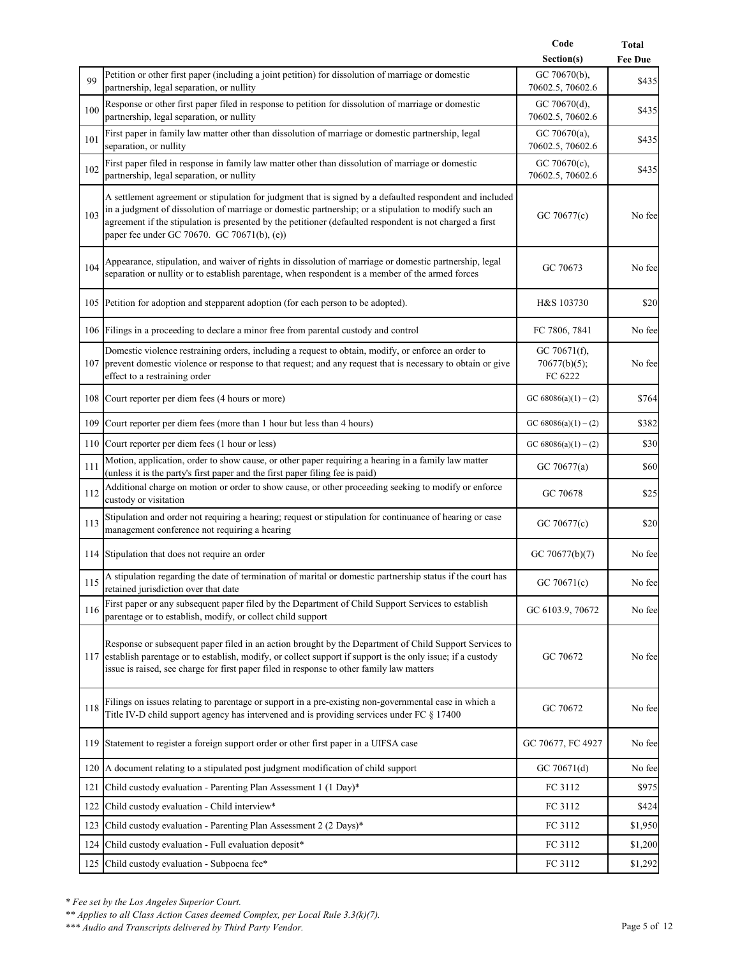|     |                                                                                                                                                                                                                                                                                                                                                                             | Code<br>Section(s)                      | Total<br><b>Fee Due</b> |
|-----|-----------------------------------------------------------------------------------------------------------------------------------------------------------------------------------------------------------------------------------------------------------------------------------------------------------------------------------------------------------------------------|-----------------------------------------|-------------------------|
|     | Petition or other first paper (including a joint petition) for dissolution of marriage or domestic                                                                                                                                                                                                                                                                          | GC 70670(b),                            |                         |
| 99  | partnership, legal separation, or nullity                                                                                                                                                                                                                                                                                                                                   | 70602.5, 70602.6                        | \$435                   |
| 100 | Response or other first paper filed in response to petition for dissolution of marriage or domestic<br>partnership, legal separation, or nullity                                                                                                                                                                                                                            | GC 70670(d),<br>70602.5, 70602.6        | \$435                   |
| 101 | First paper in family law matter other than dissolution of marriage or domestic partnership, legal<br>separation, or nullity                                                                                                                                                                                                                                                | GC 70670 $(a)$ ,<br>70602.5, 70602.6    | \$435                   |
| 102 | First paper filed in response in family law matter other than dissolution of marriage or domestic<br>partnership, legal separation, or nullity                                                                                                                                                                                                                              | GC 70670 $(c)$ ,<br>70602.5, 70602.6    | \$435                   |
| 103 | A settlement agreement or stipulation for judgment that is signed by a defaulted respondent and included<br>in a judgment of dissolution of marriage or domestic partnership; or a stipulation to modify such an<br>agreement if the stipulation is presented by the petitioner (defaulted respondent is not charged a first<br>paper fee under GC 70670. GC 70671(b), (e)) | GC 70677(c)                             | No fee                  |
| 104 | Appearance, stipulation, and waiver of rights in dissolution of marriage or domestic partnership, legal<br>separation or nullity or to establish parentage, when respondent is a member of the armed forces                                                                                                                                                                 | GC 70673                                | No fee                  |
|     | 105 Petition for adoption and stepparent adoption (for each person to be adopted).                                                                                                                                                                                                                                                                                          | H&S 103730                              | \$20                    |
|     | 106 Filings in a proceeding to declare a minor free from parental custody and control                                                                                                                                                                                                                                                                                       | FC 7806, 7841                           | No fee                  |
|     | Domestic violence restraining orders, including a request to obtain, modify, or enforce an order to<br>107 prevent domestic violence or response to that request; and any request that is necessary to obtain or give<br>effect to a restraining order                                                                                                                      | GC 70671(f),<br>70677(b)(5);<br>FC 6222 | No fee                  |
|     | 108 Court reporter per diem fees (4 hours or more)                                                                                                                                                                                                                                                                                                                          | GC 68086(a)(1) – (2)                    | \$764                   |
|     | 109 Court reporter per diem fees (more than 1 hour but less than 4 hours)                                                                                                                                                                                                                                                                                                   | GC 68086(a)(1) – (2)                    | \$382                   |
|     | 110 Court reporter per diem fees (1 hour or less)                                                                                                                                                                                                                                                                                                                           | GC 68086(a)(1) – (2)                    | \$30                    |
| 111 | Motion, application, order to show cause, or other paper requiring a hearing in a family law matter<br>(unless it is the party's first paper and the first paper filing fee is paid)                                                                                                                                                                                        | GC 70677(a)                             | \$60                    |
| 112 | Additional charge on motion or order to show cause, or other proceeding seeking to modify or enforce<br>custody or visitation                                                                                                                                                                                                                                               | GC 70678                                | \$25                    |
| 113 | Stipulation and order not requiring a hearing; request or stipulation for continuance of hearing or case<br>management conference not requiring a hearing                                                                                                                                                                                                                   | GC 70677(c)                             | \$20                    |
|     | 114 Stipulation that does not require an order                                                                                                                                                                                                                                                                                                                              | GC 70677(b)(7)                          | No fee                  |
|     | 115 A stipulation regarding the date of termination of marital or domestic partnership status if the court has<br>retained jurisdiction over that date                                                                                                                                                                                                                      | GC 70671(c)                             | No fee                  |
| 116 | First paper or any subsequent paper filed by the Department of Child Support Services to establish<br>parentage or to establish, modify, or collect child support                                                                                                                                                                                                           | GC 6103.9, 70672                        | No fee                  |
|     | Response or subsequent paper filed in an action brought by the Department of Child Support Services to<br>117 establish parentage or to establish, modify, or collect support if support is the only issue; if a custody<br>issue is raised, see charge for first paper filed in response to other family law matters                                                       | GC 70672                                | No fee                  |
| 118 | Filings on issues relating to parentage or support in a pre-existing non-governmental case in which a<br>Title IV-D child support agency has intervened and is providing services under FC § 17400                                                                                                                                                                          | GC 70672                                | No fee                  |
|     | 119 Statement to register a foreign support order or other first paper in a UIFSA case                                                                                                                                                                                                                                                                                      | GC 70677, FC 4927                       | No fee                  |
|     | 120 A document relating to a stipulated post judgment modification of child support                                                                                                                                                                                                                                                                                         | GC 70671(d)                             | No fee                  |
| 121 | Child custody evaluation - Parenting Plan Assessment 1 (1 Day)*                                                                                                                                                                                                                                                                                                             | FC 3112                                 | \$975                   |
| 122 | Child custody evaluation - Child interview*                                                                                                                                                                                                                                                                                                                                 | FC 3112                                 | \$424                   |
| 123 | Child custody evaluation - Parenting Plan Assessment 2 (2 Days)*                                                                                                                                                                                                                                                                                                            | FC 3112                                 | \$1,950                 |
| 124 | Child custody evaluation - Full evaluation deposit*                                                                                                                                                                                                                                                                                                                         | FC 3112                                 | \$1,200                 |
|     | 125 Child custody evaluation - Subpoena fee*                                                                                                                                                                                                                                                                                                                                | FC 3112                                 | \$1,292                 |

*\*\* Applies to all Class Action Cases deemed Complex, per Local Rule 3.3(k)(7).*

*\*\*\* Audio and Transcripts delivered by Third Party Vendor.* Page 5 of 12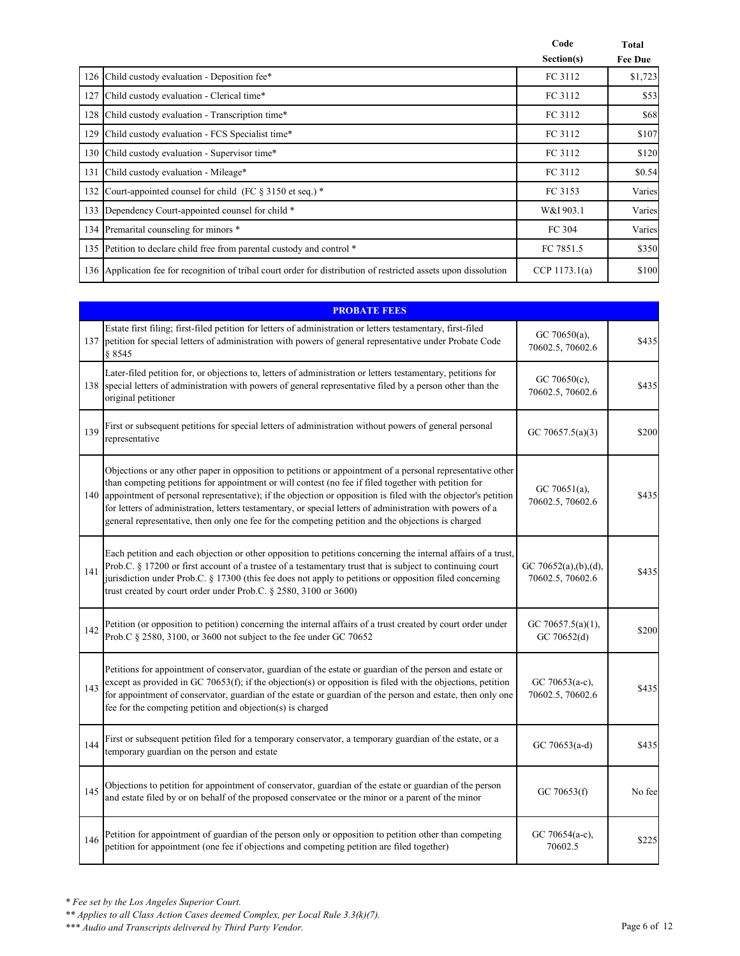|     |                                                                                                              | Code<br>Section(s) | Total<br><b>Fee Due</b> |
|-----|--------------------------------------------------------------------------------------------------------------|--------------------|-------------------------|
|     | 126 Child custody evaluation - Deposition fee*                                                               | FC 3112            | \$1,723                 |
|     | 127 Child custody evaluation - Clerical time*                                                                | FC 3112            | \$53                    |
|     | 128 Child custody evaluation - Transcription time*                                                           | FC 3112            | \$68                    |
|     | 129 Child custody evaluation - FCS Specialist time*                                                          | FC 3112            | \$107                   |
|     | 130 Child custody evaluation - Supervisor time*                                                              | FC 3112            | \$120                   |
| 131 | Child custody evaluation - Mileage*                                                                          | FC 3112            | \$0.54                  |
| 132 | Court-appointed counsel for child (FC $\S 3150$ et seq.) *                                                   | FC 3153            | Varies                  |
| 133 | Dependency Court-appointed counsel for child *                                                               | W&I 903.1          | Varies                  |
|     | 134 Premarital counseling for minors *                                                                       | FC 304             | Varies                  |
|     | 135 Petition to declare child free from parental custody and control *                                       | FC 7851.5          | \$350                   |
| 136 | Application fee for recognition of tribal court order for distribution of restricted assets upon dissolution | CCP $1173.1(a)$    | \$100                   |

|     | <b>PROBATE FEES</b>                                                                                                                                                                                                                                                                                                                                                                                                                                                                                                                                         |                                          |        |  |
|-----|-------------------------------------------------------------------------------------------------------------------------------------------------------------------------------------------------------------------------------------------------------------------------------------------------------------------------------------------------------------------------------------------------------------------------------------------------------------------------------------------------------------------------------------------------------------|------------------------------------------|--------|--|
| 137 | Estate first filing; first-filed petition for letters of administration or letters testamentary, first-filed<br>petition for special letters of administration with powers of general representative under Probate Code<br>8 8 5 4 5                                                                                                                                                                                                                                                                                                                        | GC 70650(a),<br>70602.5, 70602.6         | \$435  |  |
|     | Later-filed petition for, or objections to, letters of administration or letters testamentary, petitions for<br>138 special letters of administration with powers of general representative filed by a person other than the<br>original petitioner                                                                                                                                                                                                                                                                                                         | GC 70650(c),<br>70602.5, 70602.6         | \$435  |  |
| 139 | First or subsequent petitions for special letters of administration without powers of general personal<br>representative                                                                                                                                                                                                                                                                                                                                                                                                                                    | GC 70657.5(a)(3)                         | \$200  |  |
|     | Objections or any other paper in opposition to petitions or appointment of a personal representative other<br>than competing petitions for appointment or will contest (no fee if filed together with petition for<br>140 appointment of personal representative); if the objection or opposition is filed with the objector's petition<br>for letters of administration, letters testamentary, or special letters of administration with powers of a<br>general representative, then only one fee for the competing petition and the objections is charged | GC 70651(a),<br>70602.5, 70602.6         | \$435  |  |
| 141 | Each petition and each objection or other opposition to petitions concerning the internal affairs of a trust,<br>Prob.C. § 17200 or first account of a trustee of a testamentary trust that is subject to continuing court<br>jurisdiction under Prob.C. § 17300 (this fee does not apply to petitions or opposition filed concerning<br>trust created by court order under Prob.C. § 2580, 3100 or 3600)                                                                                                                                                   | GC 70652(a),(b),(d),<br>70602.5, 70602.6 | \$435  |  |
| 142 | Petition (or opposition to petition) concerning the internal affairs of a trust created by court order under<br>Prob.C § 2580, 3100, or 3600 not subject to the fee under GC 70652                                                                                                                                                                                                                                                                                                                                                                          | GC 70657.5(a)(1),<br>GC 70652(d)         | \$200  |  |
| 143 | Petitions for appointment of conservator, guardian of the estate or guardian of the person and estate or<br>except as provided in GC 70653(f); if the objection(s) or opposition is filed with the objections, petition<br>for appointment of conservator, guardian of the estate or guardian of the person and estate, then only one<br>fee for the competing petition and objection(s) is charged                                                                                                                                                         | GC 70653(a-c),<br>70602.5, 70602.6       | \$435  |  |
| 144 | First or subsequent petition filed for a temporary conservator, a temporary guardian of the estate, or a<br>temporary guardian on the person and estate                                                                                                                                                                                                                                                                                                                                                                                                     | GC 70653(a-d)                            | \$435  |  |
| 145 | Objections to petition for appointment of conservator, guardian of the estate or guardian of the person<br>and estate filed by or on behalf of the proposed conservatee or the minor or a parent of the minor                                                                                                                                                                                                                                                                                                                                               | GC 70653(f)                              | No fee |  |
| 146 | Petition for appointment of guardian of the person only or opposition to petition other than competing<br>petition for appointment (one fee if objections and competing petition are filed together)                                                                                                                                                                                                                                                                                                                                                        | GC 70654(a-c),<br>70602.5                | \$225  |  |

*\*\* Applies to all Class Action Cases deemed Complex, per Local Rule 3.3(k)(7).*

*\*\*\* Audio and Transcripts delivered by Third Party Vendor.* Page 6 of 12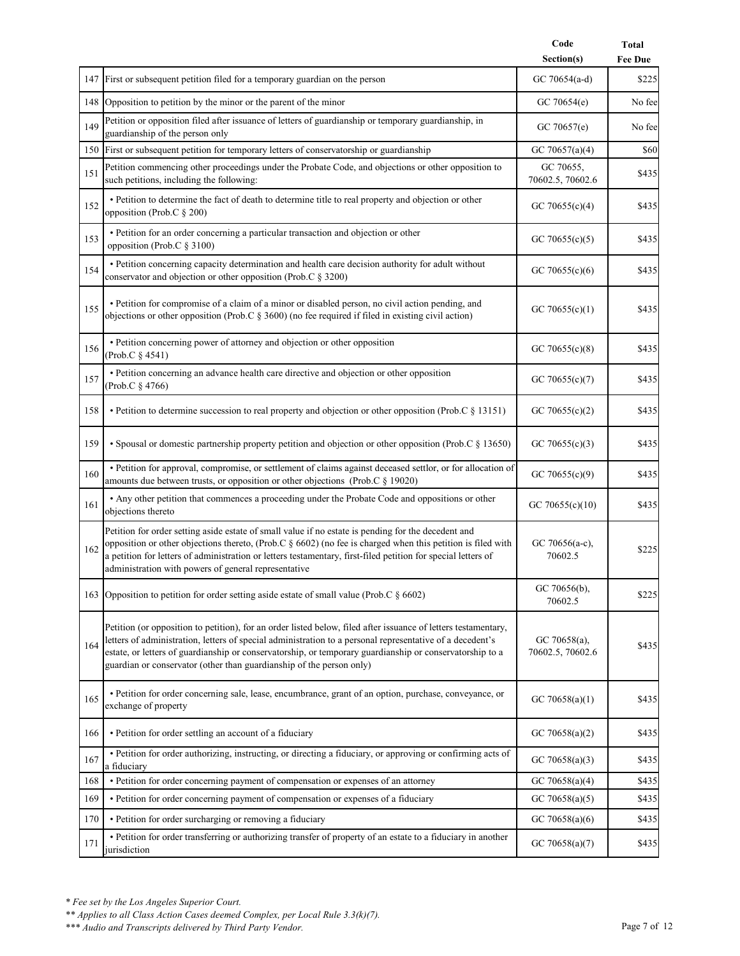|     |                                                                                                                                                                                                                                                                                                                                                                                                                 | Code                             | <b>Total</b>   |
|-----|-----------------------------------------------------------------------------------------------------------------------------------------------------------------------------------------------------------------------------------------------------------------------------------------------------------------------------------------------------------------------------------------------------------------|----------------------------------|----------------|
|     |                                                                                                                                                                                                                                                                                                                                                                                                                 | Section(s)                       | <b>Fee Due</b> |
|     | 147 First or subsequent petition filed for a temporary guardian on the person                                                                                                                                                                                                                                                                                                                                   | GC 70654(a-d)                    | \$225          |
|     | 148 Opposition to petition by the minor or the parent of the minor                                                                                                                                                                                                                                                                                                                                              | GC $70654(e)$                    | No fee         |
| 149 | Petition or opposition filed after issuance of letters of guardianship or temporary guardianship, in<br>guardianship of the person only                                                                                                                                                                                                                                                                         | GC 70657(e)                      | No fee         |
|     | 150 First or subsequent petition for temporary letters of conservatorship or guardianship                                                                                                                                                                                                                                                                                                                       | GC 70657(a)(4)                   | \$60           |
| 151 | Petition commencing other proceedings under the Probate Code, and objections or other opposition to<br>such petitions, including the following:                                                                                                                                                                                                                                                                 | GC 70655,<br>70602.5, 70602.6    | \$435          |
| 152 | · Petition to determine the fact of death to determine title to real property and objection or other<br>opposition (Prob.C § 200)                                                                                                                                                                                                                                                                               | GC 70655(c)(4)                   | \$435          |
| 153 | · Petition for an order concerning a particular transaction and objection or other<br>opposition (Prob.C § 3100)                                                                                                                                                                                                                                                                                                | GC 70655(c)(5)                   | \$435          |
| 154 | • Petition concerning capacity determination and health care decision authority for adult without<br>conservator and objection or other opposition (Prob.C § 3200)                                                                                                                                                                                                                                              | GC 70655 $(c)(6)$                | \$435          |
| 155 | • Petition for compromise of a claim of a minor or disabled person, no civil action pending, and<br>objections or other opposition (Prob.C § 3600) (no fee required if filed in existing civil action)                                                                                                                                                                                                          | GC 70655 $(c)(1)$                | \$435          |
| 156 | · Petition concerning power of attorney and objection or other opposition<br>(Prob.C § 4541)                                                                                                                                                                                                                                                                                                                    | GC 70655 $(c)(8)$                | \$435          |
| 157 | • Petition concerning an advance health care directive and objection or other opposition<br>(Prob.C § 4766)                                                                                                                                                                                                                                                                                                     | GC 70655 $(c)(7)$                | \$435          |
| 158 | • Petition to determine succession to real property and objection or other opposition (Prob.C § 13151)                                                                                                                                                                                                                                                                                                          | GC 70655(c)(2)                   | \$435          |
| 159 | • Spousal or domestic partnership property petition and objection or other opposition (Prob.C § 13650)                                                                                                                                                                                                                                                                                                          | GC 70655(c)(3)                   | \$435          |
| 160 | · Petition for approval, compromise, or settlement of claims against deceased settlor, or for allocation of<br>amounts due between trusts, or opposition or other objections (Prob.C § 19020)                                                                                                                                                                                                                   | GC 70655(c)(9)                   | \$435          |
| 161 | • Any other petition that commences a proceeding under the Probate Code and oppositions or other<br>objections thereto                                                                                                                                                                                                                                                                                          | GC 70655(c)(10)                  | \$435          |
| 162 | Petition for order setting aside estate of small value if no estate is pending for the decedent and<br>opposition or other objections thereto, (Prob.C § 6602) (no fee is charged when this petition is filed with<br>a petition for letters of administration or letters testamentary, first-filed petition for special letters of<br>administration with powers of general representative                     | GC 70656(a-c),<br>70602.5        | \$225          |
|     | 163 Opposition to petition for order setting aside estate of small value (Prob.C § 6602)                                                                                                                                                                                                                                                                                                                        | GC 70656(b),<br>70602.5          | \$225          |
| 164 | Petition (or opposition to petition), for an order listed below, filed after issuance of letters testamentary,<br>letters of administration, letters of special administration to a personal representative of a decedent's<br>estate, or letters of guardianship or conservatorship, or temporary guardianship or conservatorship to a<br>guardian or conservator (other than guardianship of the person only) | GC 70658(a),<br>70602.5, 70602.6 | \$435          |
| 165 | · Petition for order concerning sale, lease, encumbrance, grant of an option, purchase, conveyance, or<br>exchange of property                                                                                                                                                                                                                                                                                  | GC 70658(a)(1)                   | \$435          |
| 166 | • Petition for order settling an account of a fiduciary                                                                                                                                                                                                                                                                                                                                                         | GC 70658(a)(2)                   | \$435          |
| 167 | · Petition for order authorizing, instructing, or directing a fiduciary, or approving or confirming acts of<br>a fiduciary                                                                                                                                                                                                                                                                                      | GC 70658(a)(3)                   | \$435          |
| 168 | · Petition for order concerning payment of compensation or expenses of an attorney                                                                                                                                                                                                                                                                                                                              | GC 70658(a)(4)                   | \$435          |
| 169 | · Petition for order concerning payment of compensation or expenses of a fiduciary                                                                                                                                                                                                                                                                                                                              | GC 70658(a)(5)                   | \$435          |
| 170 | • Petition for order surcharging or removing a fiduciary                                                                                                                                                                                                                                                                                                                                                        | GC 70658(a)(6)                   | \$435          |
| 171 | • Petition for order transferring or authorizing transfer of property of an estate to a fiduciary in another<br>jurisdiction                                                                                                                                                                                                                                                                                    | GC 70658(a)(7)                   | \$435          |

*<sup>\*\*</sup> Applies to all Class Action Cases deemed Complex, per Local Rule 3.3(k)(7).*

*<sup>\*\*\*</sup> Audio and Transcripts delivered by Third Party Vendor.* Page 7 of 12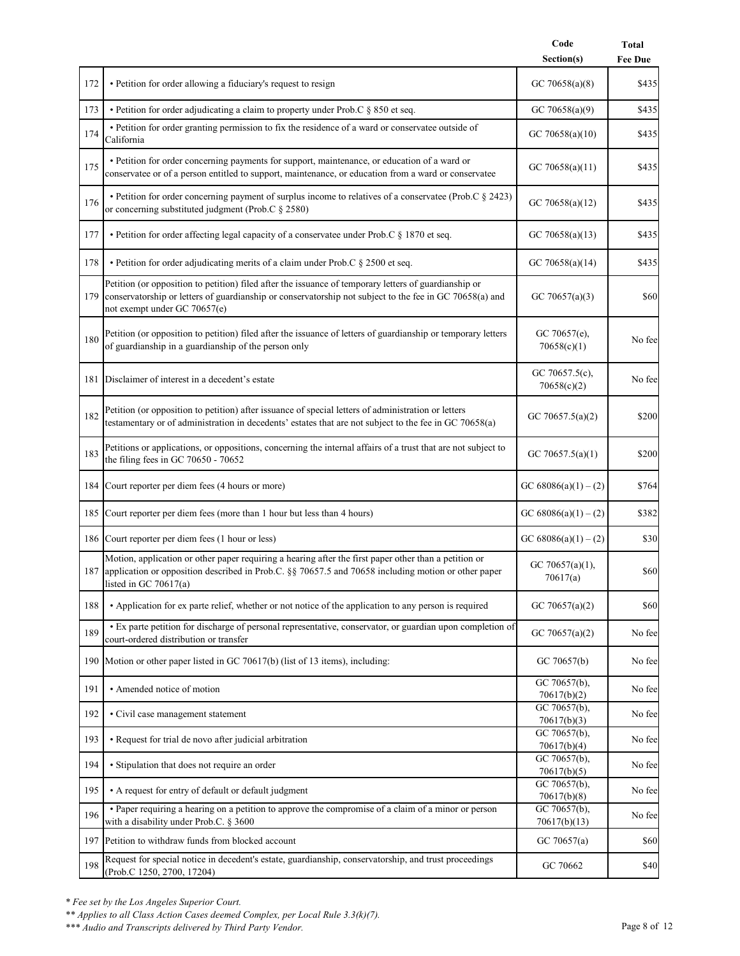|     |                                                                                                                                                                                                                                                  | Code<br>Section(s)            | <b>Total</b><br><b>Fee Due</b> |
|-----|--------------------------------------------------------------------------------------------------------------------------------------------------------------------------------------------------------------------------------------------------|-------------------------------|--------------------------------|
| 172 | • Petition for order allowing a fiduciary's request to resign                                                                                                                                                                                    | GC 70658(a)(8)                | \$435                          |
| 173 | • Petition for order adjudicating a claim to property under Prob.C § 850 et seq.                                                                                                                                                                 | GC 70658(a)(9)                | \$435                          |
| 174 | · Petition for order granting permission to fix the residence of a ward or conservatee outside of<br>California                                                                                                                                  | GC 70658(a)(10)               | \$435                          |
| 175 | • Petition for order concerning payments for support, maintenance, or education of a ward or<br>conservatee or of a person entitled to support, maintenance, or education from a ward or conservatee                                             | GC 70658(a)(11)               | \$435                          |
| 176 | • Petition for order concerning payment of surplus income to relatives of a conservatee (Prob.C § 2423)<br>or concerning substituted judgment (Prob.C § 2580)                                                                                    | GC 70658(a)(12)               | \$435                          |
| 177 | • Petition for order affecting legal capacity of a conservatee under Prob.C § 1870 et seq.                                                                                                                                                       | GC 70658(a)(13)               | \$435                          |
| 178 | • Petition for order adjudicating merits of a claim under Prob.C § 2500 et seq.                                                                                                                                                                  | GC 70658(a)(14)               | \$435                          |
| 179 | Petition (or opposition to petition) filed after the issuance of temporary letters of guardianship or<br>conservatorship or letters of guardianship or conservatorship not subject to the fee in GC 70658(a) and<br>not exempt under GC 70657(e) | GC 70657(a)(3)                | \$60                           |
| 180 | Petition (or opposition to petition) filed after the issuance of letters of guardianship or temporary letters<br>of guardianship in a guardianship of the person only                                                                            | GC 70657(e),<br>70658(c)(1)   | No fee                         |
|     | 181 Disclaimer of interest in a decedent's estate                                                                                                                                                                                                | GC 70657.5(c),<br>70658(c)(2) | No fee                         |
| 182 | Petition (or opposition to petition) after issuance of special letters of administration or letters<br>testamentary or of administration in decedents' estates that are not subject to the fee in GC 70658(a)                                    | GC 70657.5(a)(2)              | \$200                          |
| 183 | Petitions or applications, or oppositions, concerning the internal affairs of a trust that are not subject to<br>the filing fees in GC 70650 - 70652                                                                                             | GC 70657.5(a)(1)              | \$200                          |
| 184 | Court reporter per diem fees (4 hours or more)                                                                                                                                                                                                   | GC 68086(a)(1) – (2)          | \$764                          |
|     | 185 Court reporter per diem fees (more than 1 hour but less than 4 hours)                                                                                                                                                                        | GC 68086(a)(1) – (2)          | \$382                          |
|     | 186 Court reporter per diem fees (1 hour or less)                                                                                                                                                                                                | GC 68086(a)(1) – (2)          | \$30                           |
| 187 | Motion, application or other paper requiring a hearing after the first paper other than a petition or<br>application or opposition described in Prob.C. §§ 70657.5 and 70658 including motion or other paper<br>listed in GC $70617(a)$          | GC 70657(a)(1),<br>70617(a)   | \$60                           |
| 188 | • Application for ex parte relief, whether or not notice of the application to any person is required                                                                                                                                            | GC 70657(a)(2)                | \$60                           |
| 189 | • Ex parte petition for discharge of personal representative, conservator, or guardian upon completion of<br>court-ordered distribution or transfer                                                                                              | GC 70657(a)(2)                | No fee                         |
|     | 190 Motion or other paper listed in GC 70617(b) (list of 13 items), including:                                                                                                                                                                   | GC 70657(b)                   | No fee                         |
| 191 | • Amended notice of motion                                                                                                                                                                                                                       | GC 70657(b),<br>70617(b)(2)   | No fee                         |
| 192 | • Civil case management statement                                                                                                                                                                                                                | GC 70657(b),<br>70617(b)(3)   | No fee                         |
| 193 | • Request for trial de novo after judicial arbitration                                                                                                                                                                                           | GC 70657(b),<br>70617(b)(4)   | No fee                         |
| 194 | • Stipulation that does not require an order                                                                                                                                                                                                     | GC 70657(b),<br>70617(b)(5)   | No fee                         |
| 195 | • A request for entry of default or default judgment                                                                                                                                                                                             | GC 70657(b),<br>70617(b)(8)   | No fee                         |
| 196 | · Paper requiring a hearing on a petition to approve the compromise of a claim of a minor or person<br>with a disability under Prob.C. § 3600                                                                                                    | GC 70657(b),<br>70617(b)(13)  | No fee                         |
|     | 197 Petition to withdraw funds from blocked account                                                                                                                                                                                              | GC 70657(a)                   | \$60                           |
| 198 | Request for special notice in decedent's estate, guardianship, conservatorship, and trust proceedings<br>(Prob.C 1250, 2700, 17204)                                                                                                              | GC 70662                      | \$40                           |

*\*\* Applies to all Class Action Cases deemed Complex, per Local Rule 3.3(k)(7).*

*\*\*\* Audio and Transcripts delivered by Third Party Vendor.* Page 8 of 12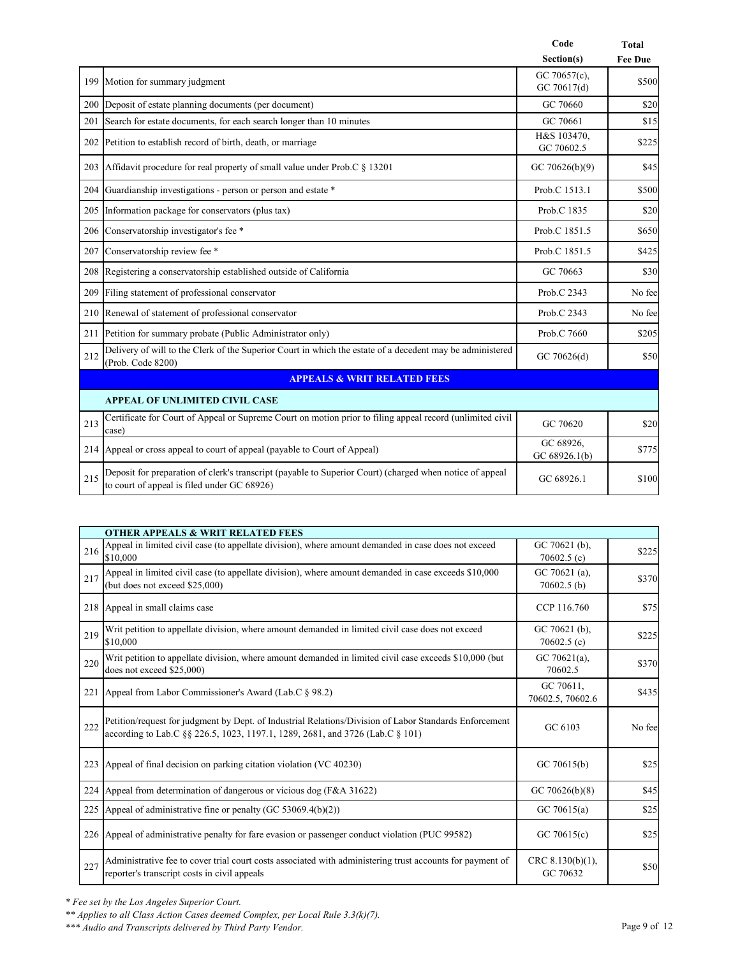|     |                                                                                                                                                         | Code                        | <b>Total</b>   |
|-----|---------------------------------------------------------------------------------------------------------------------------------------------------------|-----------------------------|----------------|
|     |                                                                                                                                                         | Section(s)                  | <b>Fee Due</b> |
|     | 199 Motion for summary judgment                                                                                                                         | GC 70657(c),<br>GC 70617(d) | \$500          |
| 200 | Deposit of estate planning documents (per document)                                                                                                     | GC 70660                    | \$20           |
| 201 | Search for estate documents, for each search longer than 10 minutes                                                                                     | GC 70661                    | \$15           |
|     | 202 Petition to establish record of birth, death, or marriage                                                                                           | H&S 103470.<br>GC 70602.5   | \$225          |
| 203 | Affidavit procedure for real property of small value under Prob.C § 13201                                                                               | GC 70626(b)(9)              | \$45           |
| 204 | Guardianship investigations - person or person and estate *                                                                                             | Prob.C 1513.1               | \$500          |
| 205 | Information package for conservators (plus tax)                                                                                                         | Prob.C 1835                 | \$20           |
| 206 | Conservatorship investigator's fee *                                                                                                                    | Prob.C 1851.5               | \$650          |
| 207 | Conservatorship review fee *                                                                                                                            | Prob.C 1851.5               | \$425          |
| 208 | Registering a conservatorship established outside of California                                                                                         | GC 70663                    | \$30           |
| 209 | Filing statement of professional conservator                                                                                                            | Prob.C 2343                 | No fee         |
| 210 | Renewal of statement of professional conservator                                                                                                        | Prob.C 2343                 | No fee         |
| 211 | Petition for summary probate (Public Administrator only)                                                                                                | Prob.C 7660                 | \$205          |
| 212 | Delivery of will to the Clerk of the Superior Court in which the estate of a decedent may be administered<br>(Prob. Code 8200)                          | GC 70626(d)                 | \$50           |
|     | <b>APPEALS &amp; WRIT RELATED FEES</b>                                                                                                                  |                             |                |
|     | <b>APPEAL OF UNLIMITED CIVIL CASE</b>                                                                                                                   |                             |                |
| 213 | Certificate for Court of Appeal or Supreme Court on motion prior to filing appeal record (unlimited civil<br>case)                                      | GC 70620                    | \$20           |
| 214 | Appeal or cross appeal to court of appeal (payable to Court of Appeal)                                                                                  | GC 68926.<br>GC 68926.1(b)  | \$775          |
| 215 | Deposit for preparation of clerk's transcript (payable to Superior Court) (charged when notice of appeal<br>to court of appeal is filed under GC 68926) | GC 68926.1                  | \$100          |

|     | <b>OTHER APPEALS &amp; WRIT RELATED FEES</b>                                                                                                                                            |                                |        |  |  |
|-----|-----------------------------------------------------------------------------------------------------------------------------------------------------------------------------------------|--------------------------------|--------|--|--|
| 216 | Appeal in limited civil case (to appellate division), where amount demanded in case does not exceed<br>\$10,000                                                                         | GC 70621 (b),<br>70602.5(c)    | \$225  |  |  |
| 217 | Appeal in limited civil case (to appellate division), where amount demanded in case exceeds \$10,000<br>(but does not exceed \$25,000)                                                  | GC 70621 (a),<br>$70602.5$ (b) | \$370  |  |  |
|     | 218 Appeal in small claims case                                                                                                                                                         | CCP 116.760                    | \$75   |  |  |
| 219 | Writ petition to appellate division, where amount demanded in limited civil case does not exceed<br>\$10,000                                                                            | GC 70621 (b),<br>70602.5(c)    | \$225  |  |  |
| 220 | Writ petition to appellate division, where amount demanded in limited civil case exceeds \$10,000 (but<br>does not exceed \$25,000)                                                     | GC $70621(a)$ ,<br>70602.5     | \$370  |  |  |
|     | 221 Appeal from Labor Commissioner's Award (Lab.C § 98.2)                                                                                                                               | GC 70611,<br>70602.5, 70602.6  | \$435  |  |  |
| 222 | Petition/request for judgment by Dept. of Industrial Relations/Division of Labor Standards Enforcement<br>according to Lab.C §§ 226.5, 1023, 1197.1, 1289, 2681, and 3726 (Lab.C § 101) | GC 6103                        | No fee |  |  |
|     | 223 Appeal of final decision on parking citation violation (VC 40230)                                                                                                                   | GC 70615(b)                    | \$25   |  |  |
|     | 224 Appeal from determination of dangerous or vicious dog (F&A 31622)                                                                                                                   | GC $70626(b)(8)$               | \$45   |  |  |
|     | 225 Appeal of administrative fine or penalty (GC 53069.4(b)(2))                                                                                                                         | GC 70615(a)                    | \$25   |  |  |
|     | 226 Appeal of administrative penalty for fare evasion or passenger conduct violation (PUC 99582)                                                                                        | GC 70615(c)                    | \$25   |  |  |
| 227 | Administrative fee to cover trial court costs associated with administering trust accounts for payment of<br>reporter's transcript costs in civil appeals                               | CRC 8.130(b)(1),<br>GC 70632   | \$50   |  |  |

*\*\* Applies to all Class Action Cases deemed Complex, per Local Rule 3.3(k)(7).*

*\*\*\* Audio and Transcripts delivered by Third Party Vendor.* Page 9 of 12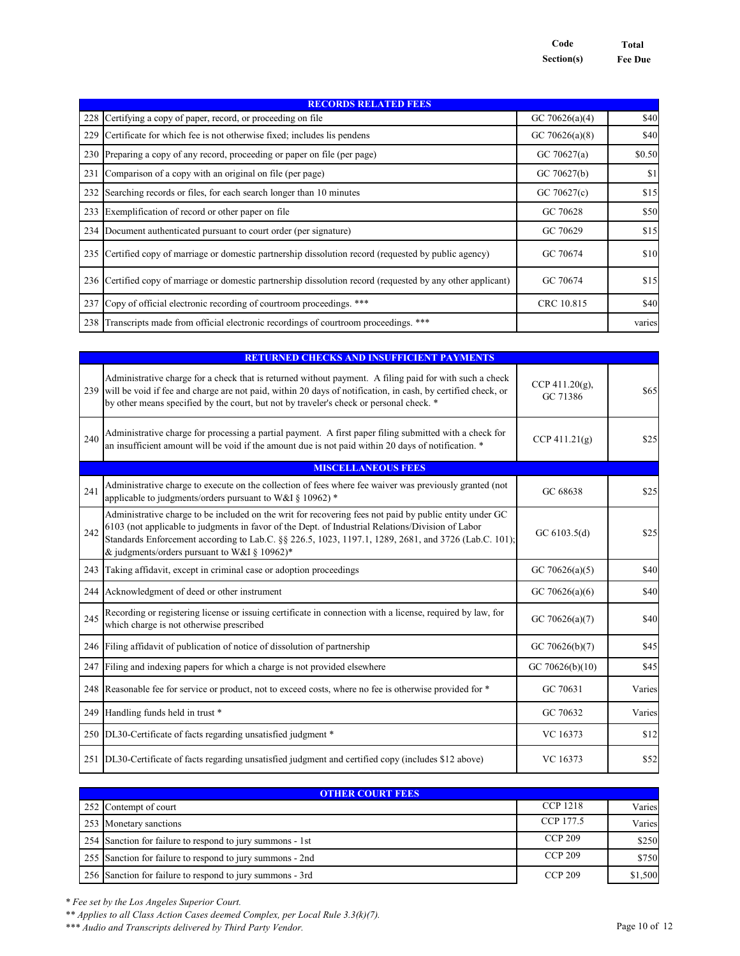**Code Total Section(s) Fee Due**

| <b>RECORDS RELATED FEES</b>                                                                                  |                   |        |  |
|--------------------------------------------------------------------------------------------------------------|-------------------|--------|--|
| 228 Certifying a copy of paper, record, or proceeding on file                                                | GC 70626(a)(4)    | \$40   |  |
| 229 Certificate for which fee is not otherwise fixed; includes lis pendens                                   | GC 70626(a) $(8)$ | \$40   |  |
| 230 Preparing a copy of any record, proceeding or paper on file (per page)                                   | GC $70627(a)$     | \$0.50 |  |
| 231 Comparison of a copy with an original on file (per page)                                                 | GC 70627(b)       | \$1    |  |
| 232 Searching records or files, for each search longer than 10 minutes                                       | GC $70627(c)$     | \$15   |  |
| 233 Exemplification of record or other paper on file                                                         | GC 70628          | \$50   |  |
| 234 Document authenticated pursuant to court order (per signature)                                           | GC 70629          | \$15   |  |
| 235 Certified copy of marriage or domestic partnership dissolution record (requested by public agency)       | GC 70674          | \$10   |  |
| 236 Certified copy of marriage or domestic partnership dissolution record (requested by any other applicant) | GC 70674          | \$15   |  |
| 237 Copy of official electronic recording of courtroom proceedings. ***                                      | CRC 10.815        | \$40   |  |
| 238 Transcripts made from official electronic recordings of courtroom proceedings. ***                       |                   | varies |  |

|     | <b>RETURNED CHECKS AND INSUFFICIENT PAYMENTS</b>                                                                                                                                                                                                                                                                                                                     |                                |        |  |
|-----|----------------------------------------------------------------------------------------------------------------------------------------------------------------------------------------------------------------------------------------------------------------------------------------------------------------------------------------------------------------------|--------------------------------|--------|--|
|     | Administrative charge for a check that is returned without payment. A filing paid for with such a check<br>239 will be void if fee and charge are not paid, within 20 days of notification, in cash, by certified check, or<br>by other means specified by the court, but not by traveler's check or personal check. *                                               | CCP 411.20 $(g)$ ,<br>GC 71386 | \$65   |  |
| 240 | Administrative charge for processing a partial payment. A first paper filing submitted with a check for<br>an insufficient amount will be void if the amount due is not paid within 20 days of notification. *                                                                                                                                                       | $CCP\ 411.21(g)$               | \$25   |  |
|     | <b>MISCELLANEOUS FEES</b>                                                                                                                                                                                                                                                                                                                                            |                                |        |  |
| 241 | Administrative charge to execute on the collection of fees where fee waiver was previously granted (not<br>applicable to judgments/orders pursuant to W&I § 10962) *                                                                                                                                                                                                 | GC 68638                       | \$25   |  |
| 242 | Administrative charge to be included on the writ for recovering fees not paid by public entity under GC<br>6103 (not applicable to judgments in favor of the Dept. of Industrial Relations/Division of Labor<br>Standards Enforcement according to Lab.C. §§ 226.5, 1023, 1197.1, 1289, 2681, and 3726 (Lab.C. 101);<br>& judgments/orders pursuant to W&I § 10962)* | GC $6103.5(d)$                 | \$25   |  |
|     | 243 Taking affidavit, except in criminal case or adoption proceedings                                                                                                                                                                                                                                                                                                | GC 70626(a)(5)                 | \$40   |  |
|     | 244 Acknowledgment of deed or other instrument                                                                                                                                                                                                                                                                                                                       | GC 70626(a)(6)                 | \$40   |  |
| 245 | Recording or registering license or issuing certificate in connection with a license, required by law, for<br>which charge is not otherwise prescribed                                                                                                                                                                                                               | GC 70626(a)(7)                 | \$40   |  |
|     | 246 Filing affidavit of publication of notice of dissolution of partnership                                                                                                                                                                                                                                                                                          | GC 70626(b)(7)                 | \$45   |  |
| 247 | Filing and indexing papers for which a charge is not provided elsewhere                                                                                                                                                                                                                                                                                              | GC 70626(b)(10)                | \$45   |  |
|     | 248 Reasonable fee for service or product, not to exceed costs, where no fee is otherwise provided for *                                                                                                                                                                                                                                                             | GC 70631                       | Varies |  |
|     | 249 Handling funds held in trust *                                                                                                                                                                                                                                                                                                                                   | GC 70632                       | Varies |  |
|     | 250 DL30-Certificate of facts regarding unsatisfied judgment *                                                                                                                                                                                                                                                                                                       | VC 16373                       | \$12   |  |
|     | 251 DL30-Certificate of facts regarding unsatisfied judgment and certified copy (includes \$12 above)                                                                                                                                                                                                                                                                | VC 16373                       | \$52   |  |

| <b>OTHER COURT FEES</b>                                   |                 |         |  |
|-----------------------------------------------------------|-----------------|---------|--|
| 252 Contempt of court                                     | <b>CCP 1218</b> | Varies  |  |
| 253 Monetary sanctions                                    | CCP 177.5       | Varies  |  |
| 254 Sanction for failure to respond to jury summons - 1st | <b>CCP 209</b>  | \$250   |  |
| 255 Sanction for failure to respond to jury summons - 2nd | <b>CCP 209</b>  | \$750   |  |
| 256 Sanction for failure to respond to jury summons - 3rd | <b>CCP 209</b>  | \$1,500 |  |

*\* Fee set by the Los Angeles Superior Court.*

*\*\* Applies to all Class Action Cases deemed Complex, per Local Rule 3.3(k)(7).*

*\*\*\* Audio and Transcripts delivered by Third Party Vendor.* Page 10 of 12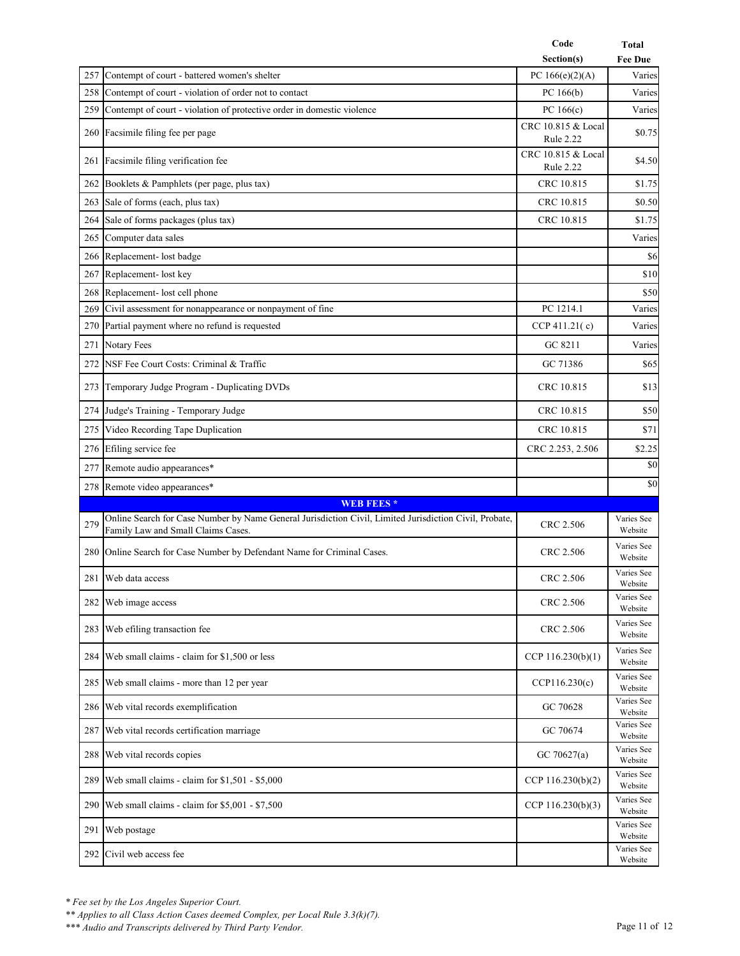|            |                                                                                                                                              | Code                                   | Total                               |
|------------|----------------------------------------------------------------------------------------------------------------------------------------------|----------------------------------------|-------------------------------------|
|            |                                                                                                                                              | Section(s)                             | <b>Fee Due</b>                      |
| 257<br>258 | Contempt of court - battered women's shelter<br>Contempt of court - violation of order not to contact                                        | PC $166(e)(2)(A)$                      | Varies                              |
|            | 259 Contempt of court - violation of protective order in domestic violence                                                                   | PC $166(b)$<br>PC $166(c)$             | Varies<br>Varies                    |
|            | 260 Facsimile filing fee per page                                                                                                            | CRC 10.815 & Local<br><b>Rule 2.22</b> | \$0.75                              |
| 261        | Facsimile filing verification fee                                                                                                            | CRC 10.815 & Local<br><b>Rule 2.22</b> | \$4.50                              |
|            | 262 Booklets & Pamphlets (per page, plus tax)                                                                                                | CRC 10.815                             | \$1.75                              |
| 263        | Sale of forms (each, plus tax)                                                                                                               | CRC 10.815                             | \$0.50                              |
|            | 264 Sale of forms packages (plus tax)                                                                                                        | CRC 10.815                             | \$1.75                              |
| 265        | Computer data sales                                                                                                                          |                                        | Varies                              |
|            | 266 Replacement- lost badge                                                                                                                  |                                        | \$6                                 |
|            | 267 Replacement- lost key                                                                                                                    |                                        | \$10                                |
|            | 268 Replacement- lost cell phone                                                                                                             |                                        | \$50                                |
| 269        | Civil assessment for nonappearance or nonpayment of fine                                                                                     | PC 1214.1                              | Varies                              |
| 270        | Partial payment where no refund is requested                                                                                                 | CCP 411.21 $(c)$                       | Varies                              |
|            | 271 Notary Fees                                                                                                                              | GC 8211                                | Varies                              |
| 272        | NSF Fee Court Costs: Criminal & Traffic                                                                                                      | GC 71386                               | \$65                                |
|            | 273 Temporary Judge Program - Duplicating DVDs                                                                                               | CRC 10.815                             | \$13                                |
| 274        | Judge's Training - Temporary Judge                                                                                                           | CRC 10.815                             | \$50                                |
| 275        | Video Recording Tape Duplication                                                                                                             | CRC 10.815                             | \$71                                |
|            | 276 Efiling service fee                                                                                                                      | CRC 2.253, 2.506                       | \$2.25                              |
| 277        | Remote audio appearances*                                                                                                                    |                                        | \$0                                 |
|            | 278 Remote video appearances*                                                                                                                |                                        | \$0                                 |
|            | <b>WEB FEES*</b>                                                                                                                             |                                        |                                     |
| 279        | Online Search for Case Number by Name General Jurisdiction Civil, Limited Jurisdiction Civil, Probate,<br>Family Law and Small Claims Cases. | CRC 2.506                              | Varies See<br>Website               |
|            | 280 Online Search for Case Number by Defendant Name for Criminal Cases.                                                                      | CRC 2.506                              | Varies See<br>Website               |
|            | 281 Web data access                                                                                                                          | CRC 2.506                              | Varies See<br>Website               |
|            | 282 Web image access                                                                                                                         | CRC 2.506                              | Varies See<br>Website               |
|            | 283 Web efiling transaction fee                                                                                                              | CRC 2.506                              | Varies See<br>Website               |
|            | 284 Web small claims - claim for \$1,500 or less                                                                                             | CCP $116.230(b)(1)$                    | Varies See<br>Website               |
|            | 285 Web small claims - more than 12 per year                                                                                                 | CCP116.230(c)                          | Varies See<br>Website               |
|            | 286 Web vital records exemplification                                                                                                        | GC 70628                               | Varies See<br>Website<br>Varies See |
| 287        | Web vital records certification marriage                                                                                                     | GC 70674                               | Website                             |
|            | 288 Web vital records copies                                                                                                                 | GC $70627(a)$                          | Varies See<br>Website               |
|            | 289 Web small claims - claim for \$1,501 - \$5,000                                                                                           | CCP $116.230(b)(2)$                    | Varies See<br>Website               |
| 290        | Web small claims - claim for \$5,001 - \$7,500                                                                                               | CCP 116.230(b)(3)                      | Varies See<br>Website               |
|            | 291 Web postage                                                                                                                              |                                        | Varies See<br>Website               |
|            | 292 Civil web access fee                                                                                                                     |                                        | Varies See<br>Website               |

*\*\* Applies to all Class Action Cases deemed Complex, per Local Rule 3.3(k)(7).*

*\*\*\* Audio and Transcripts delivered by Third Party Vendor.* Page 11 of 12